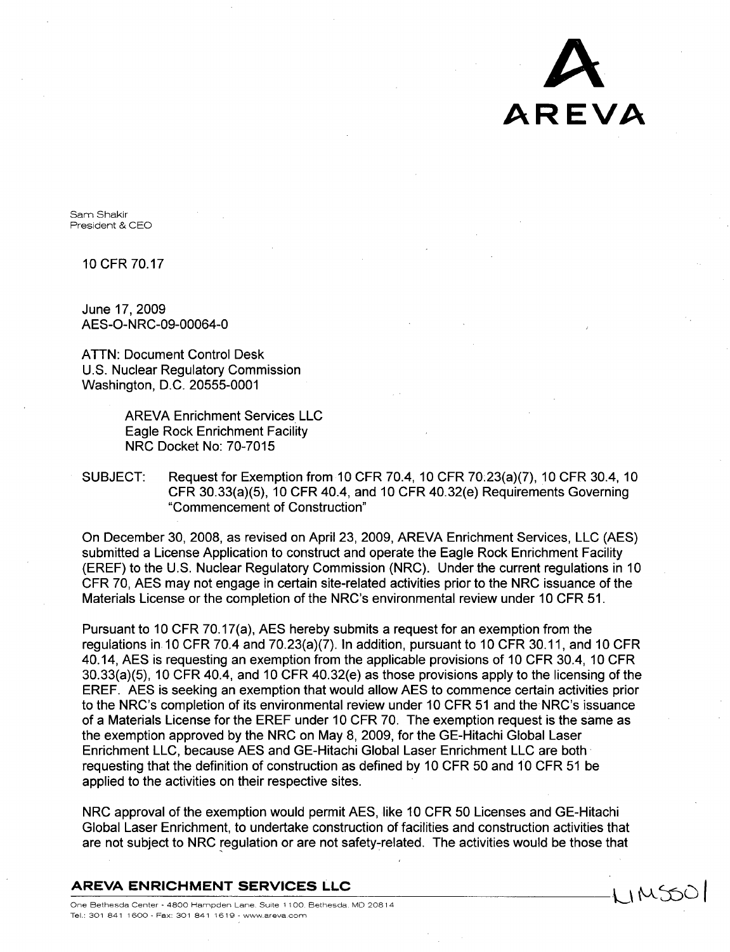**A** AREVA

1 IMSOC

Sam Shakir President & CEO

10 CFR 70.17

June 17, 2009 AES-O-NRC-09-00064-0

ATTN: Document Control Desk U.S. Nuclear Regulatory Commission Washington, D.C. 20555-0001

> AREVA Enrichment Services LLC Eagle Rock Enrichment Facility NRC Docket No: 70-7015

SUBJECT: Request for Exemption from 10 CFR 70.4, 10 CFR 70.23(a)(7), 10 CFR 30.4, 10 CFR 30.33(a)(5), 10 CFR 40.4, and 10 CFR 40.32(e) Requirements Governing "Commencement of Construction"

On December 30, 2008, as revised on April 23, 2009, AREVA Enrichment Services, LLC (AES) submitted a License Application to construct and operate the Eagle Rock Enrichment Facility (EREF) to the U.S. Nuclear Regulatory Commission (NRC). Under the current regulations in 10 CFR 70, AES may not engage in certain site-related activities prior to the NRC issuance of the Materials License or the completion of the NRC's environmental review under 10 CFR 51.

Pursuant to 10 CFR 70.17(a), AES hereby submits a request for an exemption from the regulations in 10 CFR 70.4 and 70.23(a)(7). In addition, pursuant to 10 CFR 30.11, and 10 CFR 40.14, AES is requesting an exemption from the applicable provisions of 10 CFR 30.4, 10 CFR 30.33(a)(5), 10 CFR 40.4, and 10 CFR 40.32(e) as those provisions apply to the licensing of the EREF. AES is seeking an exemption that would allow AES to commence certain activities prior to the NRC's completion of its environmental review under 10 CFR 51 and the NRC's issuance of a Materials License for the EREF under 10 CFR 70. The exemption request is the same as the exemption approved by the NRC on May 8, 2009, for the GE-Hitachi Global Laser Enrichment LLC, because AES and GE-Hitachi Global Laser Enrichment LLC are both requesting that the definition of construction as defined by 10 CFR 50 and 10 CFR 51 be applied to the activities on their respective sites.

NRC approval of the exemption would permit AES, like 10 CFR 50 Licenses and GE-Hitachi Global Laser Enrichment, to undertake construction of facilities and construction activities that are not subject to NRC regulation or are not safety-related. The activities would be those that

#### AREVA **ENRICHMENT SERVICES LLC**

One Bethesda Center **-** 4800 Hampden Lane. Suite **1100** Bethesda MD 20814 Tel.: 301 841 **1600 -** Fax: 301 841 1619 **-** wwwareva com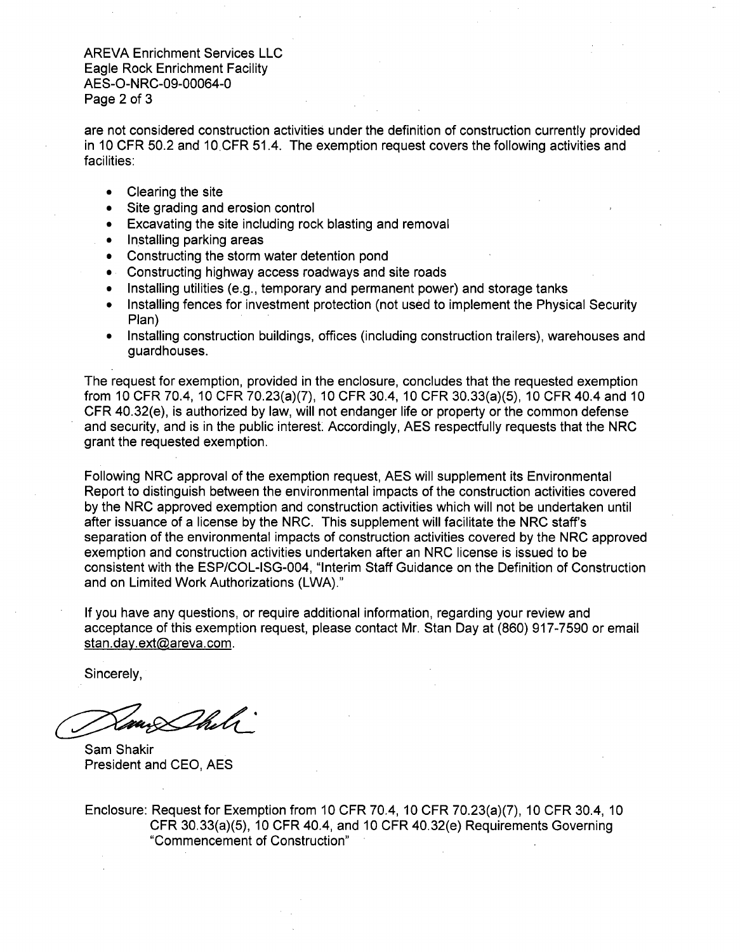are not considered construction activities under the definition of construction currently provided in 10 CFR 50.2 and 10.CFR 51.4. The exemption request covers the following activities and facilities:

- Clearing the site
- Site grading and erosion control
- Excavating the site including rock blasting and removal
- Installing parking areas
- **"** Constructing the storm water detention pond
- \* Constructing highway access roadways and site roads
- Installing utilities (e.g., temporary and permanent power) and storage tanks
- Installing fences for investment protection (not used to implement the Physical Security Plan)
- **"** Installing construction buildings, offices (including construction trailers), warehouses and guardhouses.

The request for exemption, provided in the enclosure, concludes that the requested exemption from 10 CFR 70.4, 10 CFR 70.23(a)(7), 10 CFR 30.4, 10 CFR 30.33(a)(5), 10 CFR 40.4 and 10 CFR 40.32(e), is authorized by law, will not endanger life or property or the common defense and security, and is in the public interest. Accordingly, AES respectfully requests that the NRC grant the requested exemption.

Following NRC approval of the exemption request, AES will supplement its Environmental Report to distinguish between the environmental impacts of the construction activities covered by the NRC approved exemption and construction activities which will not be undertaken until after issuance of a license by the NRC. This supplement will facilitate the NRC staff's separation of the environmental impacts of construction activities covered by the NRC approved exemption and construction activities undertaken after an NRC license is issued to be consistent with the ESP/COL-ISG-004, "Interim Staff Guidance on the Definition of Construction and on Limited Work Authorizations (LWA)."

If you have any questions, or require additional information, regarding your review and acceptance of this exemption request, please contact Mr. Stan Day at (860) 917-7590 or email stan.day.ext@areva.com.

Sincerely,

Sam Shakir President and CEO, AES

Enclosure: Request for Exemption from 10 CFR 70.4, 10 CFR 70.23(a)(7), 10 CFR 30.4, 10 CFR 30.33(a)(5), 10 CFR 40.4, and 10 CFR 40.32(e) Requirements Governing "Commencement of Construction"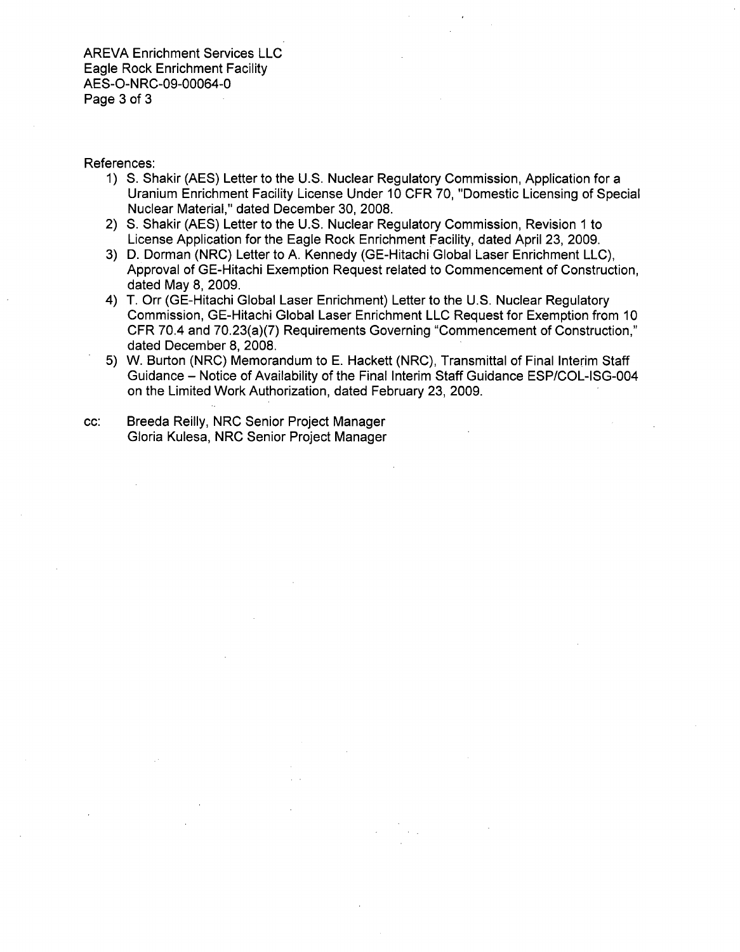### References:

- 1) **S.** Shakir (AES) Letter to the U.S. Nuclear Regulatory Commission, Application for a Uranium Enrichment Facility License Under 10 CFR 70, "Domestic Licensing of Special Nuclear Material," dated December 30, 2008.
- 2) **S.** Shakir (AES) Letter to the U.S. Nuclear Regulatory Commission, Revision 1 to License Application for the Eagle Rock Enrichment Facility, dated April 23, 2009.
- 3) D. Dorman (NRC) Letter to A. Kennedy (GE-Hitachi Global Laser Enrichment LLC), Approval of GE-Hitachi Exemption Request related to Commencement of Construction, dated May 8, 2009.
- 4) T. Orr (GE-Hitachi Global Laser Enrichment) Letter to the U.S. Nuclear Regulatory Commission, GE-Hitachi Global Laser Enrichment LLC Request for Exemption from 10 CFR 70.4 and 70.23(a)(7) Requirements Governing "Commencement of Construction," dated December 8, 2008.
- 5) W. Burton (NRC) Memorandum to E. Hackett (NRC), Transmittal of Final Interim Staff Guidance - Notice of Availability of the Final Interim Staff Guidance ESP/COL-ISG-004 on the Limited Work Authorization, dated February 23, 2009.

cc: Breeda Reilly, NRC Senior Project Manager Gloria Kulesa, NRC Senior Project Manager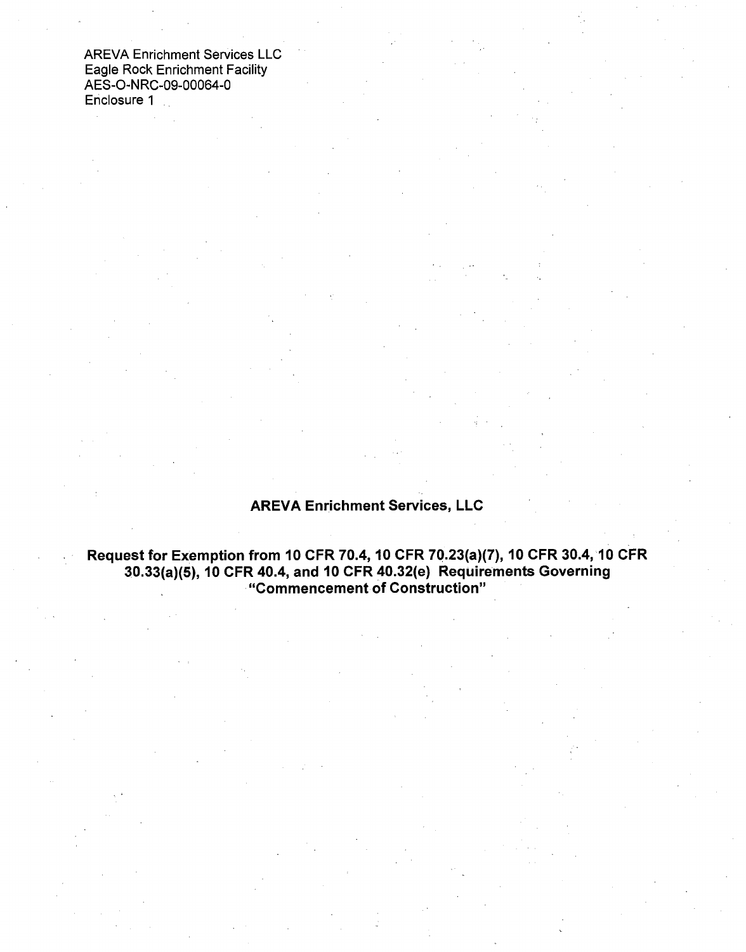# AREVA Enrichment Services, LLC

# Request for Exemption from 10 CFR 70.4, 10 CFR 70.23(a)(7), **10** CFR 30.4, **10** CFR 30.33(a)(5), **10** CFR 40.4, and **10** CFR 40.32(e) Requirements Governing "Commencement of Construction"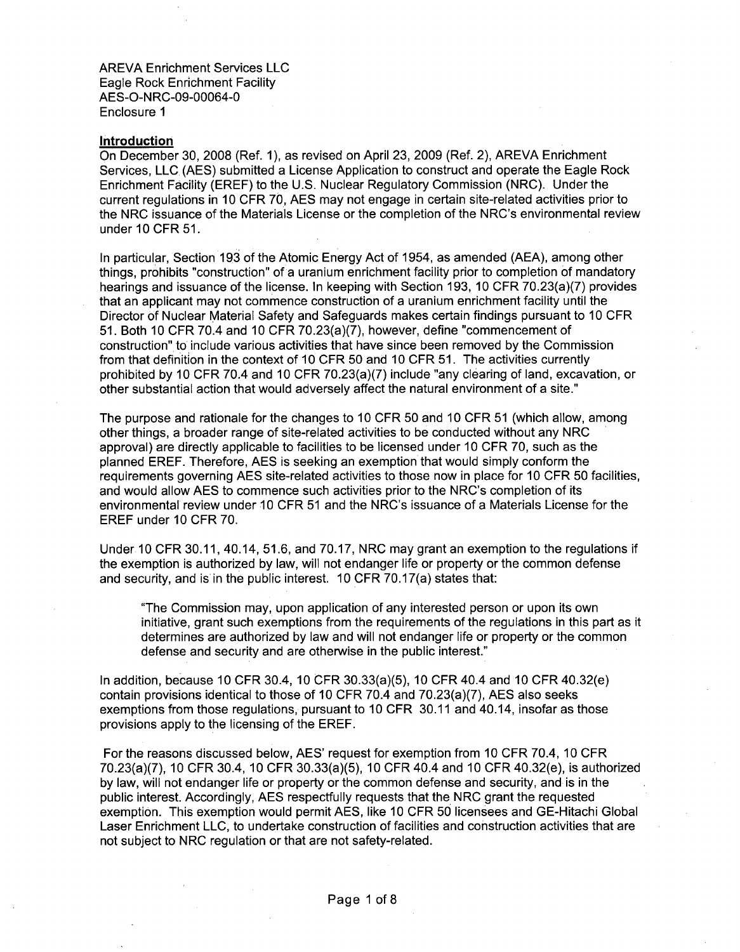#### Introduction

On December 30, 2008 (Ref. **1),** as revised on April 23, 2009 (Ref. 2), AREVA Enrichment Services, LLC (AES) submitted a License Application to construct and operate the Eagle Rock Enrichment Facility (EREF) to the U.S. Nuclear Regulatory Commission (NRC). Under the current regulations in 10 CFR 70, AES may not engage in certain site-related activities prior to the NRC issuance of the Materials License or the completion of the NRC's environmental review under 10 CFR 51.

In particular, Section 193 of the Atomic Energy Act of 1954, as amended (AEA), among other things, prohibits "construction" of a uranium enrichment facility prior to completion of mandatory hearings and issuance of the license. In keeping with Section 193, 10 CFR 70.23(a)(7) provides that an applicant may not commence construction of a uranium enrichment facility until the Director of Nuclear Material Safety and Safeguards makes certain findings pursuant to 10 CFR 51. Both 10 CFR 70.4 and 10 CFR 70.23(a)(7), however, define "commencement of construction" to include various activities that have since been removed by the Commission from that definition in the context of 10 CFR 50 and 10 CFR 51. The activities currently prohibited by 10 CFR 70.4 and 10 CFR 70.23(a)(7) include "any clearing of land, excavation, or other substantial action that would adversely affect the natural environment of a site."

The purpose and rationale for the changes to 10 CFR 50 and 10 CFR 51 (which allow, among other things, a broader range of site-related activities to be conducted without any NRC approval) are directly applicable to facilities to be licensed under 10 CFR 70, such as the planned EREF. Therefore, AES is seeking an exemption that would simply conform the requirements governing AES site-related activities to those now in place for 10 CFR 50 facilities, and would allow AES to commence such activities prior to the NRC's completion of its environmental review under 10 CFR 51 and the NRC's issuance of a Materials License for the EREF under 10 CFR 70.

Under 10 CFR 30.11, 40.14, 51.6, and 70.17, NRC may grant an exemption to the regulations if the exemption is authorized by law, will not endanger life or property or the common defense and security, and is in the public interest. 10 CFR 70.17(a) states that:

"The Commission may, upon application of any interested person or upon its own initiative, grant such exemptions from the requirements of the regulations in this part as it determines are authorized by law and will not endanger life or property or the common defense and security and are otherwise in the public interest."

In addition, because 10 CFR 30.4, 10 CFR 30.33(a)(5), 10 CFR 40.4 and 10 CFR 40.32(e) contain provisions identical to those of 10 CFR 70.4 and 70.23(a)(7), AES also seeks exemptions from those regulations, pursuant to 10 CFR 30.11 and 40.14, insofar as those provisions apply to the licensing of the EREF.

For the reasons discussed below, AES' request for exemption from 10 CFR 70.4, 10 CFR 70.23(a)(7), 10 CFR 30.4, 10 CFR 30.33(a)(5), 10 CFR 40.4 and 10 CFR 40.32(e), is authorized by law, will not endanger life or property or the common defense and security, and is in the public interest. Accordingly, AES respectfully requests that the NRC grant the requested exemption. This exemption would permit AES, like 10 CFR 50 licensees and GE-Hitachi Global Laser Enrichment LLC, to undertake construction of facilities and construction activities that are not subject to NRC regulation or that are not safety-related.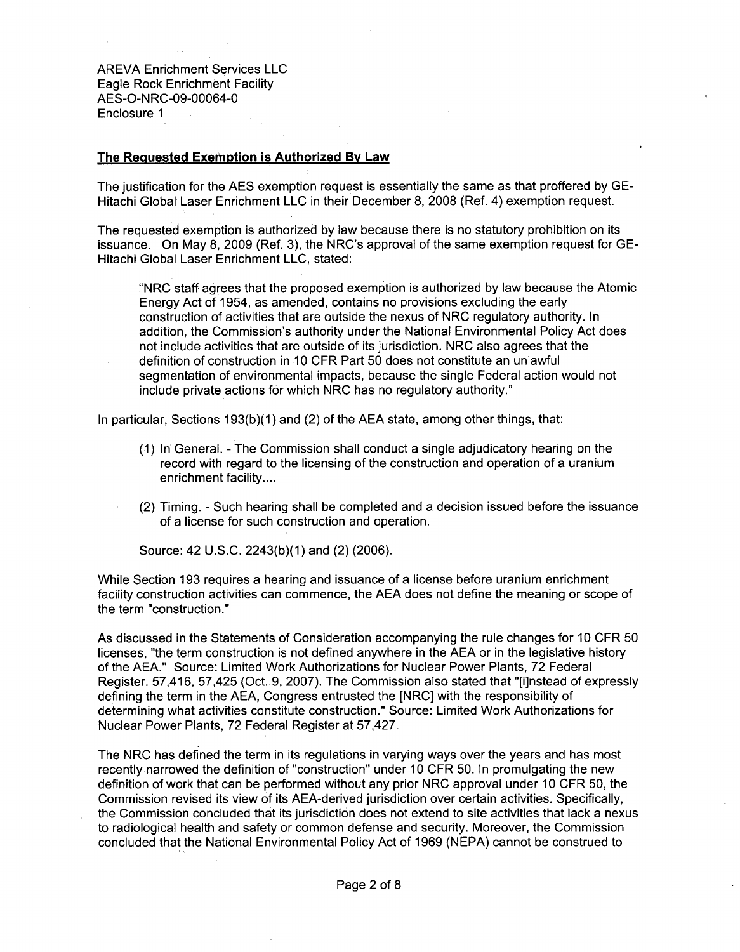### The Requested Exemption is Authorized By Law

The justification for the AES exemption request is essentially the same as that proffered by GE-Hitachi Global Laser Enrichment LLC in their December 8, 2008 (Ref. 4) exemption request.

The requested exemption is authorized by law because there is no statutory prohibition on its issuance. On May 8, 2009 (Ref. 3), the NRC's approval of the same exemption request for GE-Hitachi Global Laser Enrichment LLC, stated:

"NRC staff agrees that the proposed exemption is authorized by law because the Atomic Energy Act of 1954, as amended, contains no provisions excluding the early construction of activities that are outside the nexus of NRC regulatory authority. In addition, the Commission's authority under the National Environmental Policy Act does not include activities that are outside of its jurisdiction. NRC also agrees that the definition of construction in 10 CFR Part 50 does not constitute an unlawful segmentation of environmental impacts, because the single Federal action would not include private actions for which NRC has no regulatory authority."

In particular, Sections 193(b)(1) and (2) of the AEA state, among other things, that:

- (1) In General. The Commission shall conduct a single adjudicatory hearing on the record with regard to the licensing of the construction and operation of a uranium enrichment facility....
- (2) Timing. Such hearing shall be completed and a decision issued before the issuance of a license for such construction and operation.

Source: 42 U.S.C. 2243(b)(1) and (2) (2006).

While Section 193 requires a hearing and issuance of a license before uranium enrichment facility construction activities can commence, the AEA does not define the meaning or scope of the term "construction."

As discussed in the Statements of Consideration accompanying the rule changes for 10 CFR 50 licenses, "the term construction is not defined anywhere in the AEA or in the legislative history of the AEA." Source: Limited Work Authorizations for Nuclear Power Plants, 72 Federal Register. 57,416, 57,425 (Oct. 9, 2007). The Commission also stated that "[i]nstead of expressly defining the term in the AEA, Congress entrusted the [NRC] with the responsibility of determining what activities constitute construction." Source: Limited Work Authorizations for Nuclear Power Plants, 72 Federal Registerat 57,427.

The NRC has defined the term in its regulations in varying ways over the years and has most recently narrowed the definition of "construction" under 10 CFR 50. In promulgating the new definition of work that can be performed without any prior NRC approval under 10 CFR 50, the Commission revised its view of its AEA-derived jurisdiction over certain activities. Specifically, the Commission concluded that its jurisdiction does not extend to site activities that lack a nexus to radiological health and safety or common defense and security. Moreover, the Commission concluded that the National Environmental Policy Act of 1969 (NEPA) cannot be construed to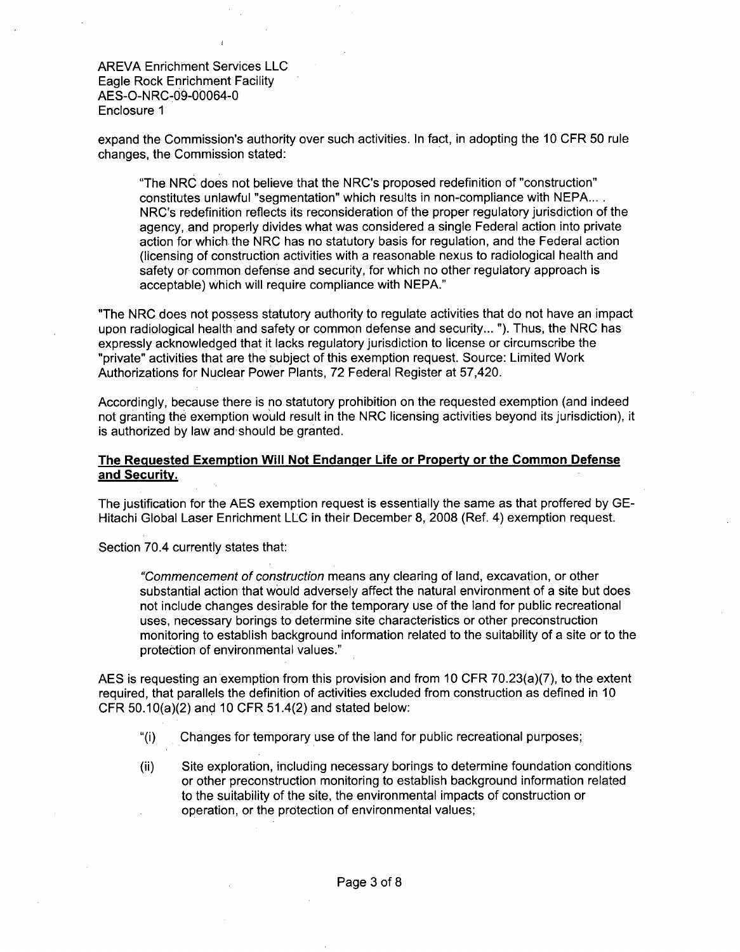expand the Commission's authority over such activities. In fact, in adopting the 10 CFR 50 rule changes, the Commission stated:

"The NRC does not believe that the NRC's proposed redefinition of "construction" constitutes unlawful "segmentation" which results in non-compliance with NEPA.... NRC's redefinition reflects its reconsideration of the proper regulatory jurisdiction of the agency, and properly divides what was considered a single Federal action into private action for which the NRC has no statutory basis for regulation, and the Federal action (licensing of construction activities with a reasonable nexus to radiological health and safety or common defense and security, for which no other regulatory approach is acceptable) which will require compliance with NEPA."

"The NRC does not possess statutory authority to regulate activities that do not have an impact upon radiological health and safety or common defense and security... "). Thus, the NRC has expressly acknowledged that it lacks regulatory jurisdiction to license or circumscribe the "private" activities that are the subject of this exemption request. Source: Limited Work Authorizations for Nuclear Power Plants, 72 Federal Register at 57,420.

Accordingly, because there is no statutory prohibition on the requested exemption (and indeed not granting the exemption would result in the NRC licensing activities beyond its jurisdiction), it is authorized by law and should be granted.

# The Requested Exemption Will Not Endanger Life or Property or the Common Defense and Security.

The justification for the AES exemption request is essentially the same as that proffered by GE-Hitachi Global Laser Enrichment LLC in their December 8, 2008 (Ref. 4) exemption request.

Section 70.4 currently states that:

*"Commencement of construction* means any clearing of land, excavation, or other substantial action that would adversely affect the natural environment of a site but does not include changes desirable for the temporary use of the land for public recreational uses, necessary borings to determine site characteristics or other preconstruction monitoring to establish background information related to the suitability of a site or to the protection of environmental values."

AES is requesting an exemption from this provision and from 10 CFR 70.23(a)(7), to the extent required, that parallels the definition of activities excluded from construction as defined in 10 CFR 50.10(a)(2) and 10 CFR 51.4(2) and stated below:

- "(i) Changes for temporary use of the land for public recreational purposes;
- (ii) Site exploration, including necessary borings to determine foundation conditions or other preconstruction monitoring to establish background information related to the suitability of the site, the environmental impacts of construction or operation, or the protection of environmental values;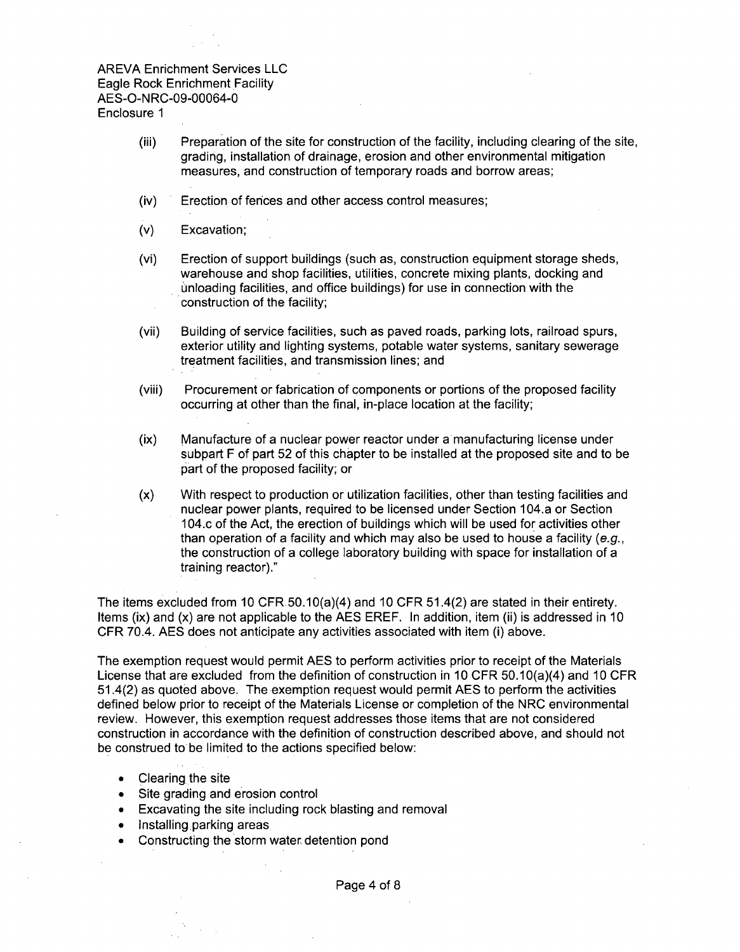- (iii) Preparation of the site for construction of the facility, including clearing of the site, grading, installation of drainage, erosion and other environmental mitigation measures, and construction of temporary roads and borrow areas;
- (iv) Erection of fences and other access control measures;
- (v) Excavation;
- (vi) Erection of support buildings (such as, construction equipment storage sheds, warehouse and shop facilities, utilities, concrete mixing plants, docking and unloading facilities, and office buildings) for use in connection with the construction of the facility;
- (vii) Building of service facilities, such as paved roads, parking lots, railroad spurs, exterior utility and lighting systems, potable water systems, sanitary sewerage treatment facilities, and transmission lines; and
- (viii) Procurement or fabrication of components or portions of the proposed facility occurring at other than the final, in-place location at the facility;
- (ix) Manufacture of a nuclear power reactor under a manufacturing license under subpart F of part 52 of this chapter to be installed at the proposed site and to be part of the proposed facility; or
- (x) With respect to production or utilization facilities, other than testing facilities and nuclear power plants, required to be licensed under Section 104.a or Section 104.c of the Act, the erection of buildings which will be used for activities other than operation of a facility and which may also be used to house a facility (e.g., the construction of a college laboratory building with space for installation of a training reactor)."

The items excluded from 10 CFR 50.10(a)(4) and 10 CFR 51.4(2) are stated in their entirety. Items (ix) and (x) are not applicable to the AES EREF. In addition, item (ii) is addressed in 10 CFR 70.4. AES does not anticipate any activities associated with item (i) above.

The exemption request would permit AES to perform activities prior to receipt of the Materials License that are excluded from the definition of construction in 10 CFR 50.10(a)(4) and 10 CFR 51.4(2) as quoted above. The exemption request would permit AES to perform the activities defined below prior to receipt of the Materials License or completion of the NRC environmental review. However, this exemption request addresses those items that are not considered construction in accordance with the definition of construction described above, and should not be construed to be limited to the actions specified below:

- **"** Clearing the site
- **"** Site grading and erosion control
- Excavating the site including rock blasting and removal
- Installing parking areas
- Constructing the storm water detention pond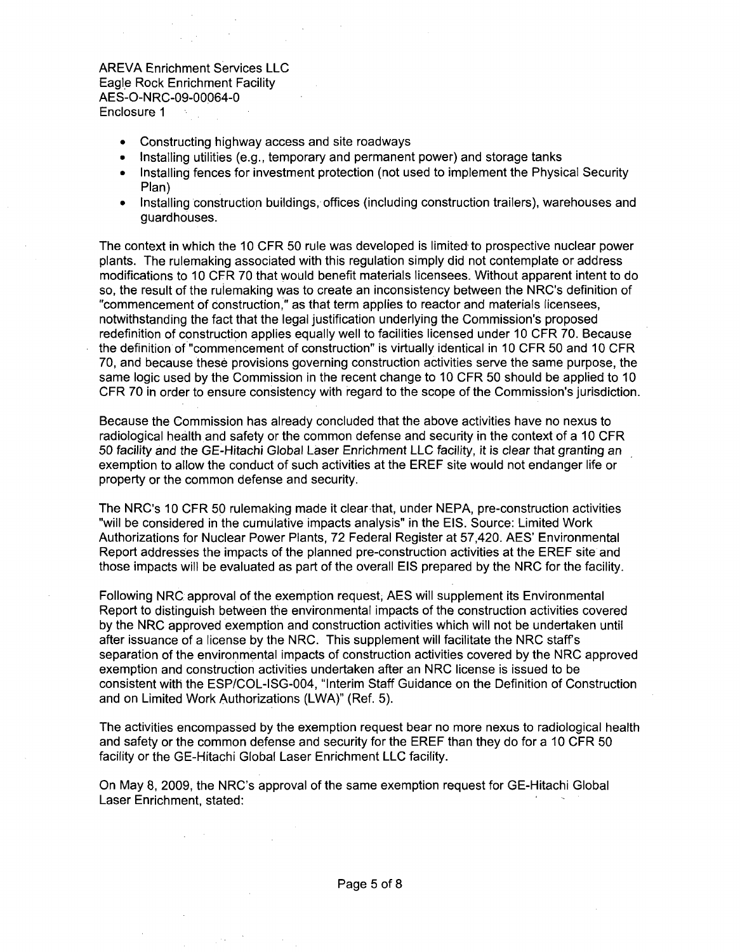- Constructing highway access and site roadways
- Installing utilities (e.g., temporary and permanent power) and storage tanks
- Installing fences for investment protection (not used to implement the Physical Security Plan)
- **"** Installing construction buildings, offices (including construction trailers), warehouses and guardhouses.

The context in which the 10 CFR 50 rule was developed is limited to prospective nuclear power plants. The rulemaking associated with this regulation simply did not contemplate or address modifications to 10 CFR 70 that would benefit materials licensees. Without apparent intent to do so, the result of the rulemaking was to create an inconsistency between the NRC's definition of "commencement of construction," as that term applies to reactor and materials licensees, notwithstanding the fact that the legal justification underlying the Commission's proposed redefinition of construction applies equally well to facilities licensed under 10 CFR 70. Because the definition of "commencement of construction" is virtually identical in 10 CFR 50 and 10 CFR 70, and because these provisions governing construction activities serve the same purpose, the same logic used by the Commission in the recent change to 10 CFR 50 should be applied to 10 CFR 70 in order to ensure consistency with regard to the scope of the Commission's jurisdiction.

Because the Commission has already concluded that the above activities have no nexus to radiological health and safety or the common defense and security in the context of a 10 CFR 50 facility and the GE-Hitachi Global Laser Enrichment **LLC** facility, it is clear that granting an exemption to allow the conduct of such activities at the EREF site would not endanger life or property or the common defense and security.

The NRC's 10 CFR 50 rulemaking made it clear-that, under NEPA, pre-construction activities "will be considered in the cumulative impacts analysis" in the EIS. Source: Limited Work Authorizations for Nuclear Power Plants, 72 Federal Register at 57,420. AES' Environmental Report addresses the impacts of the planned pre-construction activities at the EREF site and those impacts will be evaluated as part of the overall EIS prepared by the NRC for the facility.

Following NRC approval of the exemption request, AES will supplement its Environmental Report to distinguish between the environmental impacts of the construction activities covered by the NRC approved exemption and construction activities which will not be undertaken until after issuance of a license by the NRC. This supplement will facilitate the NRC staff s separation of the environmental impacts of construction activities covered by the NRC approved exemption and construction activities undertaken after an NRC license is issued to be consistent with the ESP/COL-ISG-004, "Interim Staff Guidance on the Definition of Construction and on Limited Work Authorizations (LWA)" (Ref. 5).

The activities encompassed by the exemption request bear no more nexus to radiological health and safety or the common defense and security for the EREF than they do for a 10 CFR 50 facility or the GE-Hitachi Global Laser Enrichment LLC facility.

On May 8, 2009, the NRC's approval of the same exemption request for GE-Hitachi Global Laser Enrichment, stated: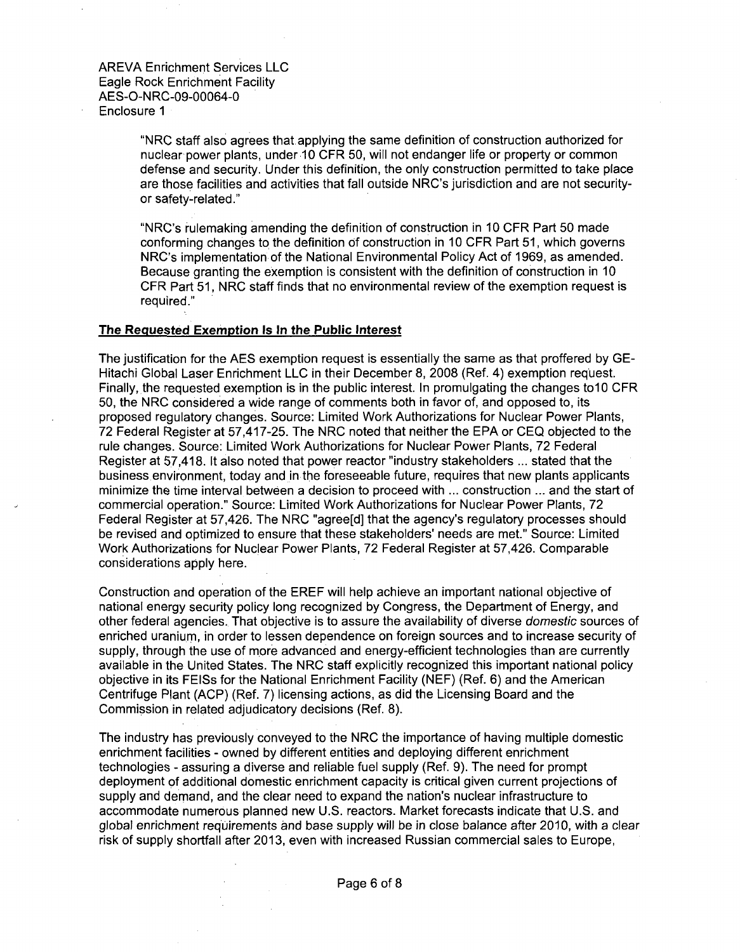Enclosure **1**

"NRC staff also agrees that applying the same definition of construction authorized for nuclear-power plants, under 10 CFR 50, will not endanger life or property or common defense and security. Under this definition, the only construction permitted to take place are those facilities and activities that fall outside NRC's jurisdiction and are not securityor safety-related."

"NRC's rulemaking amending the definition of construction in 10 CFR Part 50 made conforming changes to the definition of construction in 10 CFR Part 51, which governs NRC's implementation of the National Environmental Policy Act of 1969, as amended. Because granting the exemption is consistent with the definition of construction in 10 CFR Part 51, NRC staff finds that no environmental review of the exemption request is required."

#### The Requested Exemption Is In the Public Interest

The justification for the AES exemption request is essentially the same as that proffered by GE-Hitachi Global Laser Enrichment LLC in their December 8, 2008 (Ref. 4) exemption request. Finally, the requested exemption is in the public interest. In promulgating the changes to 10 CFR 50, the NRC considered a wide range of comments both in favor of, and opposed to, its proposed regulatory changes. Source: Limited Work Authorizations for Nuclear Power Plants, 72 Federal Register at 57,417-25. The NRC noted that neither the EPA or CEQ objected to the rule changes. Source: Limited Work Authorizations for Nuclear Power Plants, 72 Federal Register at 57,418. It also noted that power reactor "industry stakeholders ... stated that the business environment, today and in the foreseeable future, requires that new plants applicants minimize the time interval between a decision to proceed with ... construction ... and the start of commercial operation." Source: Limited Work Authorizations for Nuclear Power Plants, 72 Federal Register at 57,426. The NRC "agree[d] that the agency's regulatory processes should be revised and optimized to ensure that these stakeholders' needs are met." Source: Limited Work Authorizations for Nuclear Power Plants, 72 Federal Register at 57,426. Comparable considerations apply here.

Construction and operation of the EREF will help achieve an important national objective of national energy security policy long recognized by Congress, the Department of Energy, and other federal agencies. That objective is to assure the availability of diverse domestic sources of enriched uranium, in order to lessen dependence on foreign sources and to increase security of supply, through the use of more advanced and energy-efficient technologies than are currently available in the United States. The NRC staff explicitly recognized this important national policy objective in its FEISs for the National Enrichment Facility (NEF) (Ref. 6) and the American Centrifuge Plant (ACP) (Ref. 7) licensing actions, as did the Licensing Board and the Commission in related adjudicatory decisions (Ref. 8).

The industry has previously conveyed to the NRC the importance of having multiple domestic enrichment facilities - owned by different entities and deploying different enrichment technologies - assuring a diverse and reliable fuel supply (Ref. 9). The need for prompt deployment of additional domestic enrichment capacity is critical given current projections of supply and demand, and the clear need to expand the nation's nuclear infrastructure to accommodate numerous planned new U.S. reactors. Market forecasts indicate that U.S. and global enrichment requirements and base supply will be in close balance after 2010, with a clear risk of supply shortfall after 2013, even with increased Russian commercial sales to Europe,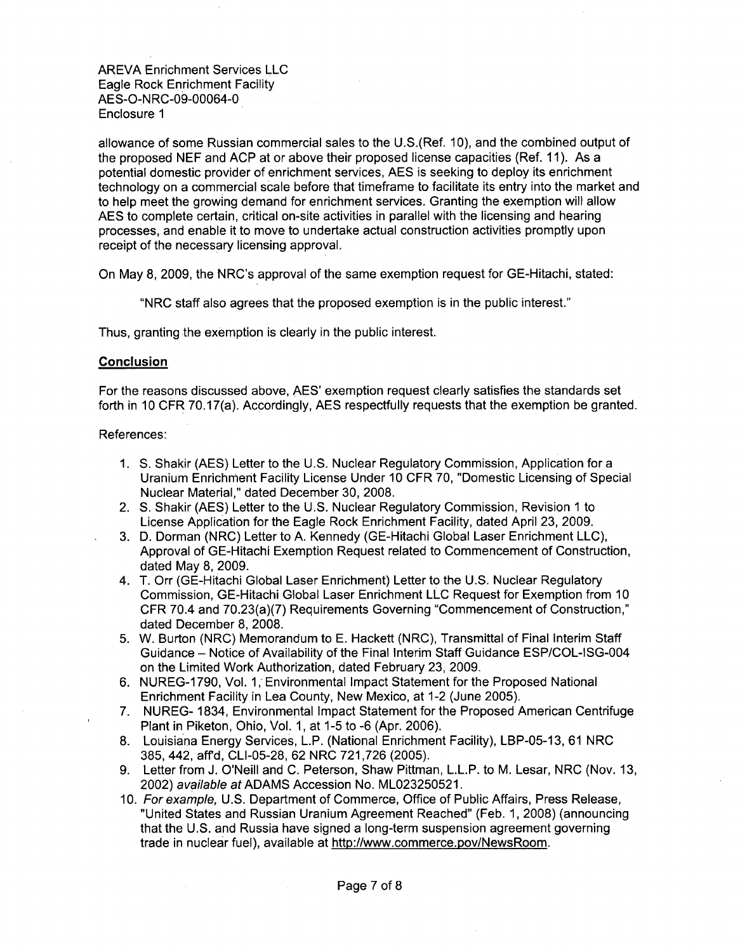allowance of some Russian commercial sales to the U.S.(Ref. 10), and the combined output of the proposed NEF and ACP at or above their proposed license capacities (Ref. 11). As a potential domestic provider of enrichment services, AES is seeking to deploy its enrichment technology on a commercial scale before that timeframe to facilitate its entry into the market and to help meet the growing demand for enrichment services. Granting the exemption will allow AES to complete certain, critical on-site activities in parallel with the licensing and hearing processes, and enable it to move to undertake actual construction activities promptly upon receipt of the necessary licensing approval.

On May 8, 2009, the NRC's approval of the same exemption request for GE-Hitachi, stated:

"NRC staff also agrees that the proposed exemption is in the public interest."

Thus, granting the exemption is clearly in the public interest.

### Conclusion

For the reasons discussed above, AES' exemption request clearly satisfies the standards set forth in 10 CFR 70.17(a). Accordingly, AES respectfully requests that the exemption be granted.

#### References:

- 1. **S.** Shakir (AES) Letter to the U.S. Nuclear Regulatory Commission, Application for a Uranium Enrichment Facility License Under 10 CFR 70, "Domestic Licensing of Special Nuclear Material," dated December 30, 2008.
- 2. **S.** Shakir (AES) Letter to the U.S. Nuclear Regulatory Commission, Revision **1** to License Application for the Eagle Rock Enrichment Facility, dated April 23, 2009.
- 3. D. Dorman (NRC) Letter to A. Kennedy (GE-Hitachi Global Laser Enrichment LLC), Approval of GE-Hitachi Exemption Request related to Commencement of Construction, dated May 8, 2009.
- 4. T. Orr (GE-Hitachi Global Laser Enrichment) Letter to the U.S. Nuclear Regulatory Commission, GE-Hitachi Global Laser Enrichment LLC Request for Exemption from 10 CFR 70.4 and 70.23(a)(7) Requirements Governing "Commencement of Construction," dated December 8, 2008.
- 5. W. Burton (NRC) Memorandum to E. Hackett (NRC), Transmittal of Final Interim Staff Guidance - Notice of Availability of the Final Interim Staff Guidance ESP/COL-ISG-004 on the Limited Work Authorization, dated February 23, 2009.
- 6. NUREG-1790, Vol. 1, Environmental Impact Statement for the Proposed National Enrichment Facility in Lea County, New Mexico, at 1-2 (June 2005).
- 7. NUREG- 1834, Environmental Impact Statement for the Proposed American Centrifuge Plant in Piketon, Ohio, Vol. 1, at 1-5 to -6 (Apr. 2006).
- 8. Louisiana Energy Services, L.P. (National Enrichment Facility), LBP-05-13, 61 NRC 385, 442, aff'd, CLI-05-28, 62 NRC 721,726 (2005).
- 9. Letter from J. O'Neill and C. Peterson, Shaw Pittman, L.L.P. to M. Lesar, NRC (Nov. 13, 2002) *available at* ADAMS Accession No. ML023250521.
- 10. *For example,* U.S. Department of Commerce, Office of Public Affairs, Press Release, "United States and Russian Uranium Agreement Reached" (Feb. 1, 2008) (announcing that the U.S. and Russia have signed a long-term suspension agreement governing trade in nuclear fuel), available at http://www.commerce.pov/NewsRoom.